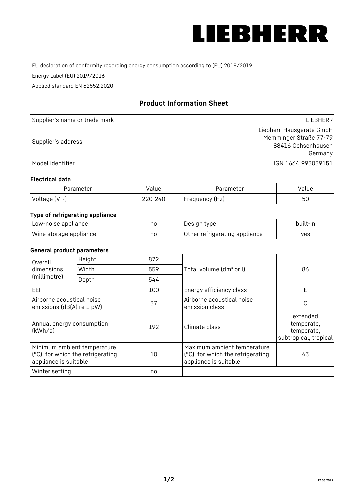

EU declaration of conformity regarding energy consumption according to (EU) 2019/2019

Energy Label (EU) 2019/2016

Applied standard EN 62552:2020

# **Product Information Sheet**

| Supplier's name or trade mark | LIEBHERR                 |
|-------------------------------|--------------------------|
|                               | Liebherr-Hausgeräte GmbH |
|                               | Memminger Straße 77-79   |
| Supplier's address            | 88416 Ochsenhausen       |
|                               | Germany                  |
| Model identifier              | IGN 1664_993039151       |

#### **Electrical data**

| Parameter     | Value   | Parameter      | Value |
|---------------|---------|----------------|-------|
| Voltage (V ~) | 220-240 | Frequency (Hz) | 50    |

# **Type of refrigerating appliance**

| Low-noise appliance    | no | Design type                   | built-in |
|------------------------|----|-------------------------------|----------|
| Wine storage appliance | no | Other refrigerating appliance | ves      |

## **General product parameters**

| Height<br>Overall<br>dimensions<br>Width<br>(millimetre)<br>Depth |                                                                  | 872 |                                                                                           | 86                                                            |
|-------------------------------------------------------------------|------------------------------------------------------------------|-----|-------------------------------------------------------------------------------------------|---------------------------------------------------------------|
|                                                                   |                                                                  | 559 | Total volume (dm <sup>3</sup> or l)                                                       |                                                               |
|                                                                   |                                                                  | 544 |                                                                                           |                                                               |
| EEL                                                               |                                                                  | 100 | Energy efficiency class                                                                   | E                                                             |
| Airborne acoustical noise<br>emissions (dB(A) re 1 pW)            |                                                                  | 37  | Airborne acoustical noise<br>emission class                                               | С                                                             |
| Annual energy consumption<br>(kWh/a)                              |                                                                  | 192 | Climate class                                                                             | extended<br>temperate,<br>temperate,<br>subtropical, tropical |
| appliance is suitable                                             | Minimum ambient temperature<br>(°C), for which the refrigerating | 10  | Maximum ambient temperature<br>(°C), for which the refrigerating<br>appliance is suitable | 43                                                            |
| Winter setting                                                    |                                                                  | no  |                                                                                           |                                                               |